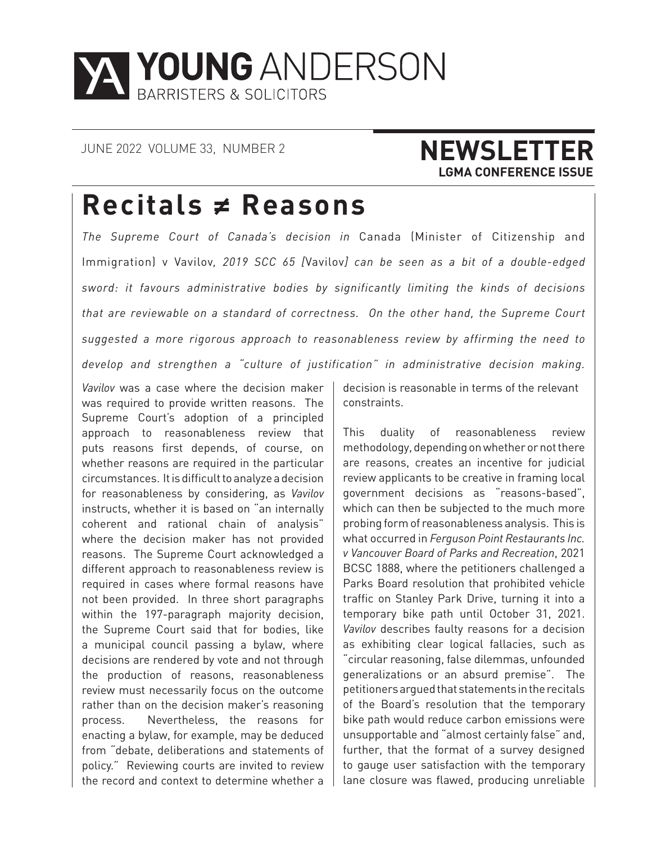

### JUNE 2022 VOLUME 33, NUMBER 2 **NEWSLETTER LGMA CONFERENCE ISSUE**

## **Recitals ≠ Reasons**

*The Supreme Court of Canada's decision in* Canada (Minister of Citizenship and Immigration) v Vavilov*, 2019 SCC 65 [*Vavilov*] can be seen as a bit of a double-edged sword: it favours administrative bodies by significantly limiting the kinds of decisions that are reviewable on a standard of correctness. On the other hand, the Supreme Court suggested a more rigorous approach to reasonableness review by affirming the need to develop and strengthen a "culture of justification" in administrative decision making.*

*Vavilov* was a case where the decision maker was required to provide written reasons. The Supreme Court's adoption of a principled approach to reasonableness review that puts reasons first depends, of course, on whether reasons are required in the particular circumstances. It is difficult to analyze a decision for reasonableness by considering, as *Vavilov*  instructs, whether it is based on "an internally coherent and rational chain of analysis" where the decision maker has not provided reasons. The Supreme Court acknowledged a different approach to reasonableness review is required in cases where formal reasons have not been provided. In three short paragraphs within the 197-paragraph majority decision, the Supreme Court said that for bodies, like a municipal council passing a bylaw, where decisions are rendered by vote and not through the production of reasons, reasonableness review must necessarily focus on the outcome rather than on the decision maker's reasoning process. Nevertheless, the reasons for enacting a bylaw, for example, may be deduced from "debate, deliberations and statements of policy." Reviewing courts are invited to review the record and context to determine whether a

decision is reasonable in terms of the relevant constraints.

This duality of reasonableness review methodology, depending on whether or not there are reasons, creates an incentive for judicial review applicants to be creative in framing local government decisions as "reasons-based", which can then be subjected to the much more probing form of reasonableness analysis. This is what occurred in *Ferguson Point Restaurants Inc. v Vancouver Board of Parks and Recreation*, 2021 BCSC 1888, where the petitioners challenged a Parks Board resolution that prohibited vehicle traffic on Stanley Park Drive, turning it into a temporary bike path until October 31, 2021. *Vavilov* describes faulty reasons for a decision as exhibiting clear logical fallacies, such as "circular reasoning, false dilemmas, unfounded generalizations or an absurd premise". The petitioners argued that statements in the recitals of the Board's resolution that the temporary bike path would reduce carbon emissions were unsupportable and "almost certainly false" and, further, that the format of a survey designed to gauge user satisfaction with the temporary lane closure was flawed, producing unreliable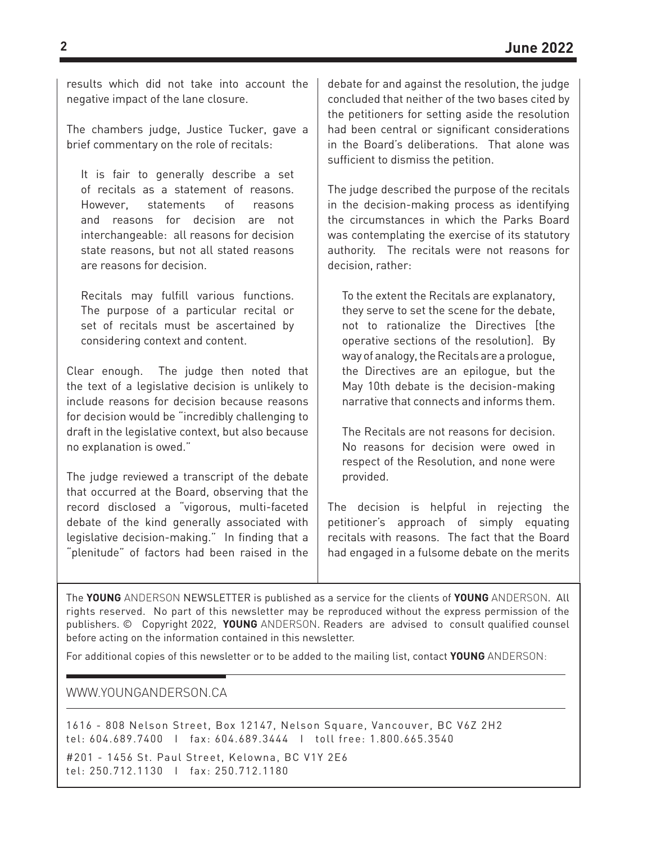results which did not take into account the negative impact of the lane closure.

The chambers judge, Justice Tucker, gave a brief commentary on the role of recitals:

It is fair to generally describe a set of recitals as a statement of reasons. However, statements of reasons and reasons for decision are not interchangeable: all reasons for decision state reasons, but not all stated reasons are reasons for decision.

Recitals may fulfill various functions. The purpose of a particular recital or set of recitals must be ascertained by considering context and content.

Clear enough. The judge then noted that the text of a legislative decision is unlikely to include reasons for decision because reasons for decision would be "incredibly challenging to draft in the legislative context, but also because no explanation is owed."

The judge reviewed a transcript of the debate that occurred at the Board, observing that the record disclosed a "vigorous, multi-faceted debate of the kind generally associated with legislative decision-making." In finding that a "plenitude" of factors had been raised in the debate for and against the resolution, the judge concluded that neither of the two bases cited by the petitioners for setting aside the resolution had been central or significant considerations in the Board's deliberations. That alone was sufficient to dismiss the petition.

The judge described the purpose of the recitals in the decision-making process as identifying the circumstances in which the Parks Board was contemplating the exercise of its statutory authority. The recitals were not reasons for decision, rather:

To the extent the Recitals are explanatory, they serve to set the scene for the debate, not to rationalize the Directives [the operative sections of the resolution]. By way of analogy, the Recitals are a prologue, the Directives are an epilogue, but the May 10th debate is the decision-making narrative that connects and informs them.

The Recitals are not reasons for decision. No reasons for decision were owed in respect of the Resolution, and none were provided.

The decision is helpful in rejecting the petitioner's approach of simply equating recitals with reasons. The fact that the Board had engaged in a fulsome debate on the merits

The **YOUNG** ANDERSON NEWSLETTER is published as a service for the clients of **YOUNG** ANDERSON. All rights reserved. No part of this newsletter may be reproduced without the express permission of the publishers. © Copyright 2022, **YOUNG** ANDERSON. Readers are advised to consult qualified counsel before acting on the information contained in this newsletter.

For additional copies of this newsletter or to be added to the mailing list, contact **YOUNG** ANDERSON:

#### WWW.YOUNGANDERSON.CA

1616 - 808 Nelson Street, Box 12147, Nelson Square, Vancouver, BC V6Z 2H2 tel: 604.689.7400 I fax: 604.689.3444 I toll free: 1.800.665.3540

#201 - 1456 St. Paul Street, Kelowna, BC V1Y 2E6 tel: 250.712.1130 I fax: 250.712.1180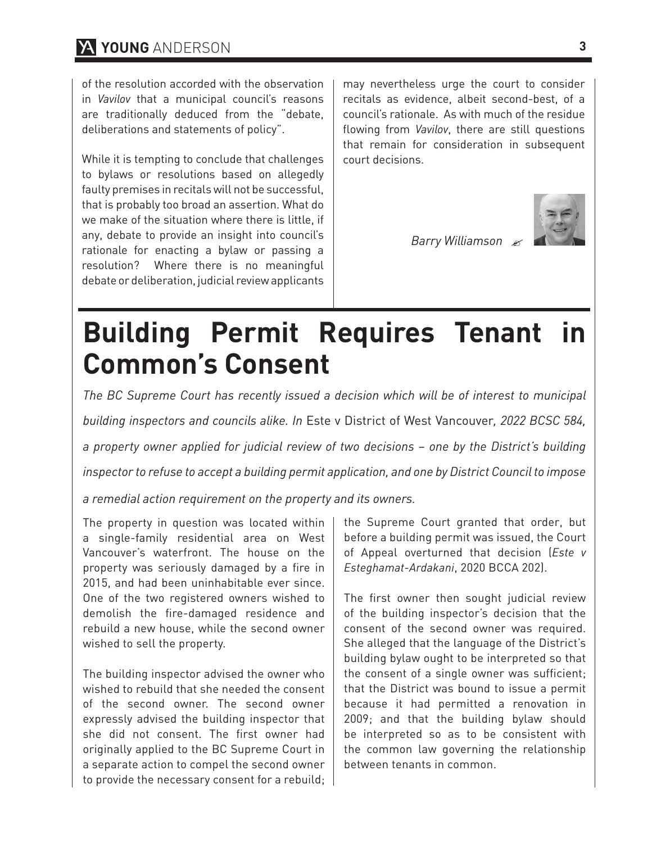of the resolution accorded with the observation in *Vavilov* that a municipal council's reasons are traditionally deduced from the "debate, deliberations and statements of policy".

While it is tempting to conclude that challenges to bylaws or resolutions based on allegedly faulty premises in recitals will not be successful, that is probably too broad an assertion. What do we make of the situation where there is little, if any, debate to provide an insight into council's rationale for enacting a bylaw or passing a resolution? Where there is no meaningful debate or deliberation, judicial review applicants may nevertheless urge the court to consider recitals as evidence, albeit second-best, of a council's rationale. As with much of the residue flowing from *Vavilov*, there are still questions that remain for consideration in subsequent court decisions.

*Barry Williamson*



## **Building Permit Requires Tenant in Common's Consent**

*The BC Supreme Court has recently issued a decision which will be of interest to municipal building inspectors and councils alike. In* Este v District of West Vancouver*, 2022 BCSC 584, a property owner applied for judicial review of two decisions – one by the District's building inspector to refuse to accept a building permit application, and one by District Council to impose* 

*a remedial action requirement on the property and its owners.*

The property in question was located within a single-family residential area on West Vancouver's waterfront. The house on the property was seriously damaged by a fire in 2015, and had been uninhabitable ever since. One of the two registered owners wished to demolish the fire-damaged residence and rebuild a new house, while the second owner wished to sell the property.

The building inspector advised the owner who wished to rebuild that she needed the consent of the second owner. The second owner expressly advised the building inspector that she did not consent. The first owner had originally applied to the BC Supreme Court in a separate action to compel the second owner to provide the necessary consent for a rebuild; the Supreme Court granted that order, but before a building permit was issued, the Court of Appeal overturned that decision (*Este v Esteghamat-Ardakani*, 2020 BCCA 202).

The first owner then sought judicial review of the building inspector's decision that the consent of the second owner was required. She alleged that the language of the District's building bylaw ought to be interpreted so that the consent of a single owner was sufficient; that the District was bound to issue a permit because it had permitted a renovation in 2009; and that the building bylaw should be interpreted so as to be consistent with the common law governing the relationship between tenants in common.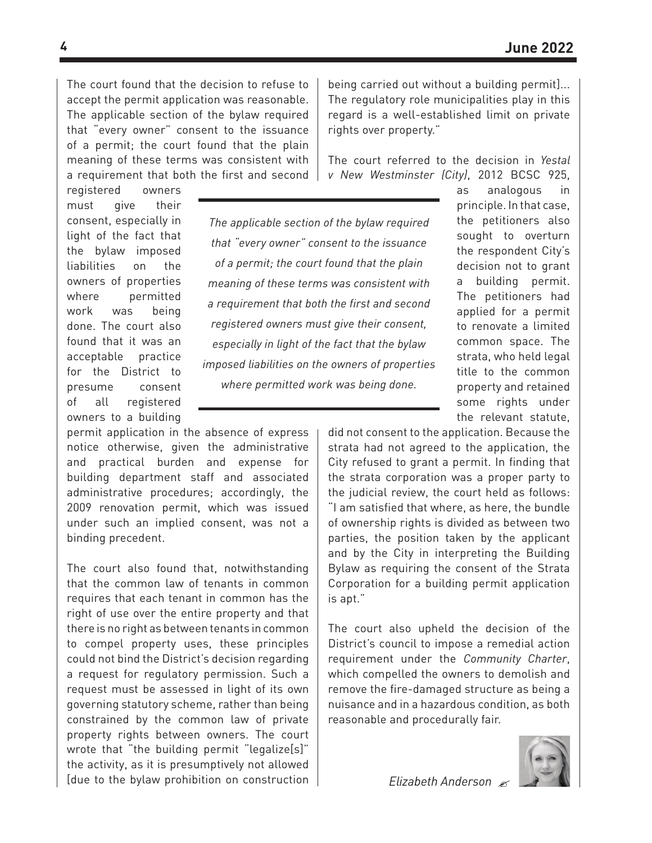The court found that the decision to refuse to accept the permit application was reasonable. The applicable section of the bylaw required that "every owner" consent to the issuance of a permit; the court found that the plain meaning of these terms was consistent with a requirement that both the first and second being carried out without a building permit]... The regulatory role municipalities play in this regard is a well-established limit on private rights over property."

The court referred to the decision in *Yestal v New Westminster (City)*, 2012 BCSC 925,

registered owners must give their consent, especially in light of the fact that the bylaw imposed liabilities on the owners of properties where permitted work was being done. The court also found that it was an acceptable practice for the District to presume consent of all registered owners to a building

*The applicable section of the bylaw required that "every owner" consent to the issuance of a permit; the court found that the plain meaning of these terms was consistent with a requirement that both the first and second registered owners must give their consent, especially in light of the fact that the bylaw imposed liabilities on the owners of properties where permitted work was being done.*

permit application in the absence of express notice otherwise, given the administrative and practical burden and expense for building department staff and associated administrative procedures; accordingly, the 2009 renovation permit, which was issued under such an implied consent, was not a binding precedent.

The court also found that, notwithstanding that the common law of tenants in common requires that each tenant in common has the right of use over the entire property and that there is no right as between tenants in common to compel property uses, these principles could not bind the District's decision regarding a request for regulatory permission. Such a request must be assessed in light of its own governing statutory scheme, rather than being constrained by the common law of private property rights between owners. The court wrote that "the building permit "legalize[s]" the activity, as it is presumptively not allowed [due to the bylaw prohibition on construction as analogous in principle. In that case, the petitioners also sought to overturn the respondent City's decision not to grant a building permit. The petitioners had applied for a permit to renovate a limited common space. The strata, who held legal title to the common property and retained some rights under the relevant statute,

did not consent to the application. Because the strata had not agreed to the application, the City refused to grant a permit. In finding that the strata corporation was a proper party to the judicial review, the court held as follows: "I am satisfied that where, as here, the bundle of ownership rights is divided as between two parties, the position taken by the applicant and by the City in interpreting the Building Bylaw as requiring the consent of the Strata Corporation for a building permit application is apt."

The court also upheld the decision of the District's council to impose a remedial action requirement under the *Community Charter*, which compelled the owners to demolish and remove the fire-damaged structure as being a nuisance and in a hazardous condition, as both reasonable and procedurally fair.



*Elizabeth Anderson*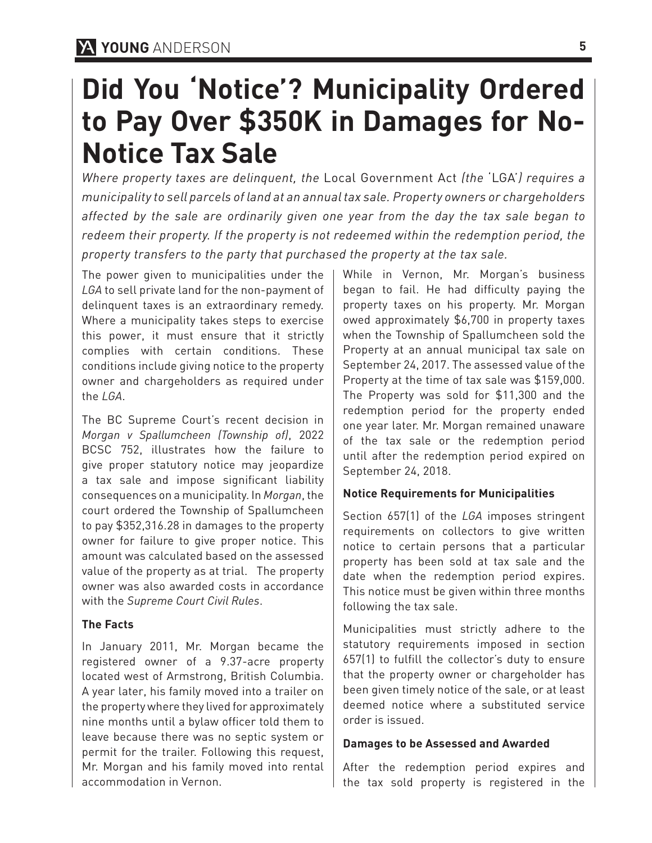## **Did You 'Notice'? Municipality Ordered to Pay Over \$350K in Damages for No-Notice Tax Sale**

*Where property taxes are delinquent, the* Local Government Act *(the* 'LGA'*) requires a municipality to sell parcels of land at an annual tax sale. Property owners or chargeholders affected by the sale are ordinarily given one year from the day the tax sale began to redeem their property. If the property is not redeemed within the redemption period, the property transfers to the party that purchased the property at the tax sale.*

The power given to municipalities under the *LGA* to sell private land for the non-payment of delinquent taxes is an extraordinary remedy. Where a municipality takes steps to exercise this power, it must ensure that it strictly complies with certain conditions. These conditions include giving notice to the property owner and chargeholders as required under the *LGA*.

The BC Supreme Court's recent decision in *Morgan v Spallumcheen (Township of)*, 2022 BCSC 752, illustrates how the failure to give proper statutory notice may jeopardize a tax sale and impose significant liability consequences on a municipality. In *Morgan*, the court ordered the Township of Spallumcheen to pay \$352,316.28 in damages to the property owner for failure to give proper notice. This amount was calculated based on the assessed value of the property as at trial. The property owner was also awarded costs in accordance with the *Supreme Court Civil Rules*.

### **The Facts**

In January 2011, Mr. Morgan became the registered owner of a 9.37-acre property located west of Armstrong, British Columbia. A year later, his family moved into a trailer on the property where they lived for approximately nine months until a bylaw officer told them to leave because there was no septic system or permit for the trailer. Following this request, Mr. Morgan and his family moved into rental accommodation in Vernon.

While in Vernon, Mr. Morgan's business began to fail. He had difficulty paying the property taxes on his property. Mr. Morgan owed approximately \$6,700 in property taxes when the Township of Spallumcheen sold the Property at an annual municipal tax sale on September 24, 2017. The assessed value of the Property at the time of tax sale was \$159,000. The Property was sold for \$11,300 and the redemption period for the property ended one year later. Mr. Morgan remained unaware of the tax sale or the redemption period until after the redemption period expired on September 24, 2018.

### **Notice Requirements for Municipalities**

Section 657(1) of the *LGA* imposes stringent requirements on collectors to give written notice to certain persons that a particular property has been sold at tax sale and the date when the redemption period expires. This notice must be given within three months following the tax sale.

Municipalities must strictly adhere to the statutory requirements imposed in section 657(1) to fulfill the collector's duty to ensure that the property owner or chargeholder has been given timely notice of the sale, or at least deemed notice where a substituted service order is issued.

### **Damages to be Assessed and Awarded**

After the redemption period expires and the tax sold property is registered in the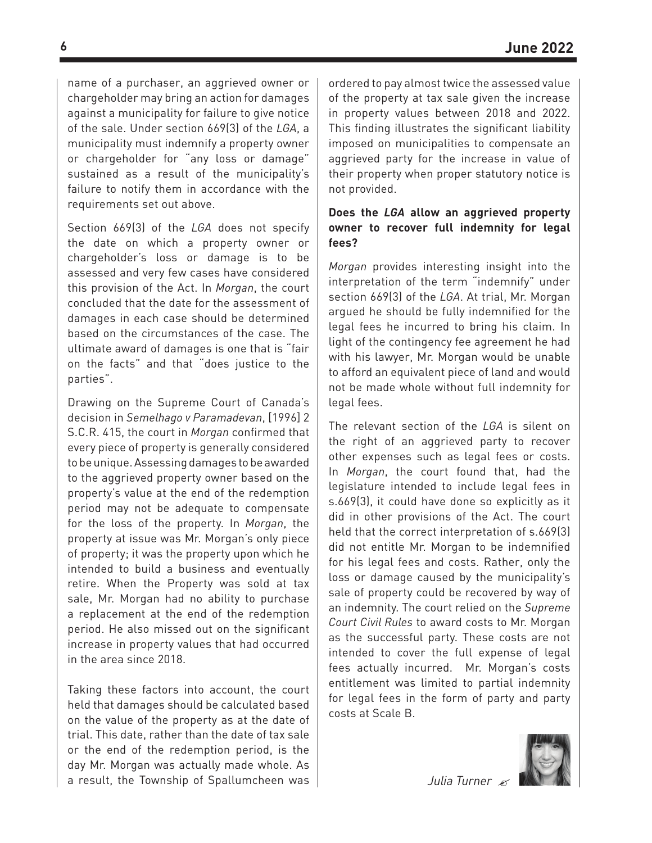name of a purchaser, an aggrieved owner or chargeholder may bring an action for damages against a municipality for failure to give notice of the sale. Under section 669(3) of the *LGA*, a municipality must indemnify a property owner or chargeholder for "any loss or damage" sustained as a result of the municipality's failure to notify them in accordance with the requirements set out above.

Section 669(3) of the *LGA* does not specify the date on which a property owner or chargeholder's loss or damage is to be assessed and very few cases have considered this provision of the Act. In *Morgan*, the court concluded that the date for the assessment of damages in each case should be determined based on the circumstances of the case. The ultimate award of damages is one that is "fair on the facts" and that "does justice to the parties".

Drawing on the Supreme Court of Canada's decision in *Semelhago v Paramadevan*, [1996] 2 S.C.R. 415, the court in *Morgan* confirmed that every piece of property is generally considered to be unique. Assessing damages to be awarded to the aggrieved property owner based on the property's value at the end of the redemption period may not be adequate to compensate for the loss of the property. In *Morgan*, the property at issue was Mr. Morgan's only piece of property; it was the property upon which he intended to build a business and eventually retire. When the Property was sold at tax sale, Mr. Morgan had no ability to purchase a replacement at the end of the redemption period. He also missed out on the significant increase in property values that had occurred in the area since 2018.

Taking these factors into account, the court held that damages should be calculated based on the value of the property as at the date of trial. This date, rather than the date of tax sale or the end of the redemption period, is the day Mr. Morgan was actually made whole. As a result, the Township of Spallumcheen was ordered to pay almost twice the assessed value of the property at tax sale given the increase in property values between 2018 and 2022. This finding illustrates the significant liability imposed on municipalities to compensate an aggrieved party for the increase in value of their property when proper statutory notice is not provided.

#### **Does the** *LGA* **allow an aggrieved property owner to recover full indemnity for legal fees?**

*Morgan* provides interesting insight into the interpretation of the term "indemnify" under section 669(3) of the *LGA*. At trial, Mr. Morgan argued he should be fully indemnified for the legal fees he incurred to bring his claim. In light of the contingency fee agreement he had with his lawyer, Mr. Morgan would be unable to afford an equivalent piece of land and would not be made whole without full indemnity for legal fees.

The relevant section of the *LGA* is silent on the right of an aggrieved party to recover other expenses such as legal fees or costs. In *Morgan*, the court found that, had the legislature intended to include legal fees in s.669(3), it could have done so explicitly as it did in other provisions of the Act. The court held that the correct interpretation of s.669(3) did not entitle Mr. Morgan to be indemnified for his legal fees and costs. Rather, only the loss or damage caused by the municipality's sale of property could be recovered by way of an indemnity. The court relied on the *Supreme Court Civil Rules* to award costs to Mr. Morgan as the successful party. These costs are not intended to cover the full expense of legal fees actually incurred. Mr. Morgan's costs entitlement was limited to partial indemnity for legal fees in the form of party and party costs at Scale B.



*Julia Turner*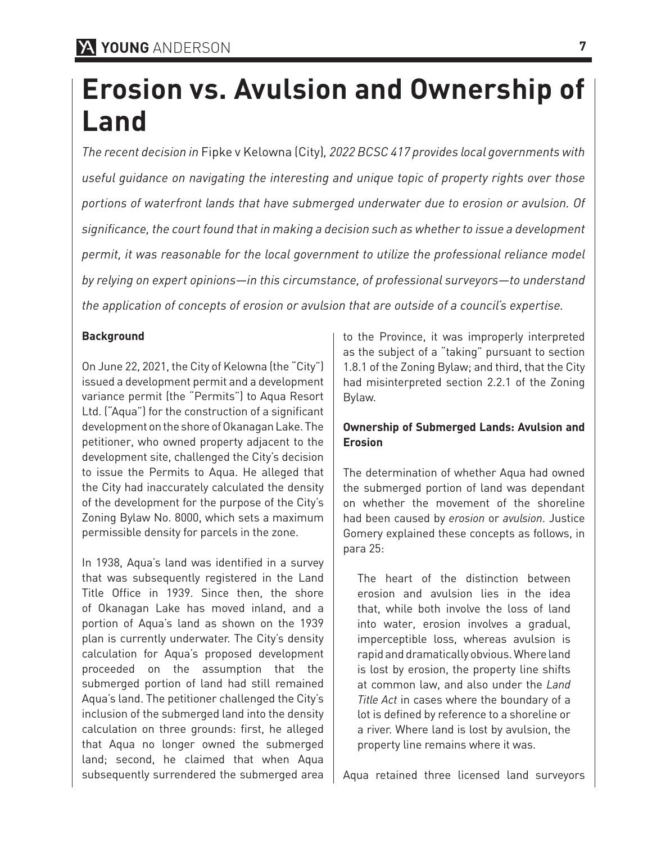## **Erosion vs. Avulsion and Ownership of Land**

*The recent decision in* Fipke v Kelowna (City)*, 2022 BCSC 417 provides local governments with useful guidance on navigating the interesting and unique topic of property rights over those portions of waterfront lands that have submerged underwater due to erosion or avulsion. Of significance, the court found that in making a decision such as whether to issue a development permit, it was reasonable for the local government to utilize the professional reliance model by relying on expert opinions—in this circumstance, of professional surveyors—to understand the application of concepts of erosion or avulsion that are outside of a council's expertise.* 

#### **Background**

On June 22, 2021, the City of Kelowna (the "City") issued a development permit and a development variance permit (the "Permits") to Aqua Resort Ltd. ("Aqua") for the construction of a significant development on the shore of Okanagan Lake. The petitioner, who owned property adjacent to the development site, challenged the City's decision to issue the Permits to Aqua. He alleged that the City had inaccurately calculated the density of the development for the purpose of the City's Zoning Bylaw No. 8000, which sets a maximum permissible density for parcels in the zone.

In 1938, Aqua's land was identified in a survey that was subsequently registered in the Land Title Office in 1939. Since then, the shore of Okanagan Lake has moved inland, and a portion of Aqua's land as shown on the 1939 plan is currently underwater. The City's density calculation for Aqua's proposed development proceeded on the assumption that the submerged portion of land had still remained Aqua's land. The petitioner challenged the City's inclusion of the submerged land into the density calculation on three grounds: first, he alleged that Aqua no longer owned the submerged land; second, he claimed that when Aqua subsequently surrendered the submerged area to the Province, it was improperly interpreted as the subject of a "taking" pursuant to section 1.8.1 of the Zoning Bylaw; and third, that the City had misinterpreted section 2.2.1 of the Zoning Bylaw.

#### **Ownership of Submerged Lands: Avulsion and Erosion**

The determination of whether Aqua had owned the submerged portion of land was dependant on whether the movement of the shoreline had been caused by *erosion* or *avulsion*. Justice Gomery explained these concepts as follows, in para 25:

The heart of the distinction between erosion and avulsion lies in the idea that, while both involve the loss of land into water, erosion involves a gradual, imperceptible loss, whereas avulsion is rapid and dramatically obvious. Where land is lost by erosion, the property line shifts at common law, and also under the *Land Title Act* in cases where the boundary of a lot is defined by reference to a shoreline or a river. Where land is lost by avulsion, the property line remains where it was.

Aqua retained three licensed land surveyors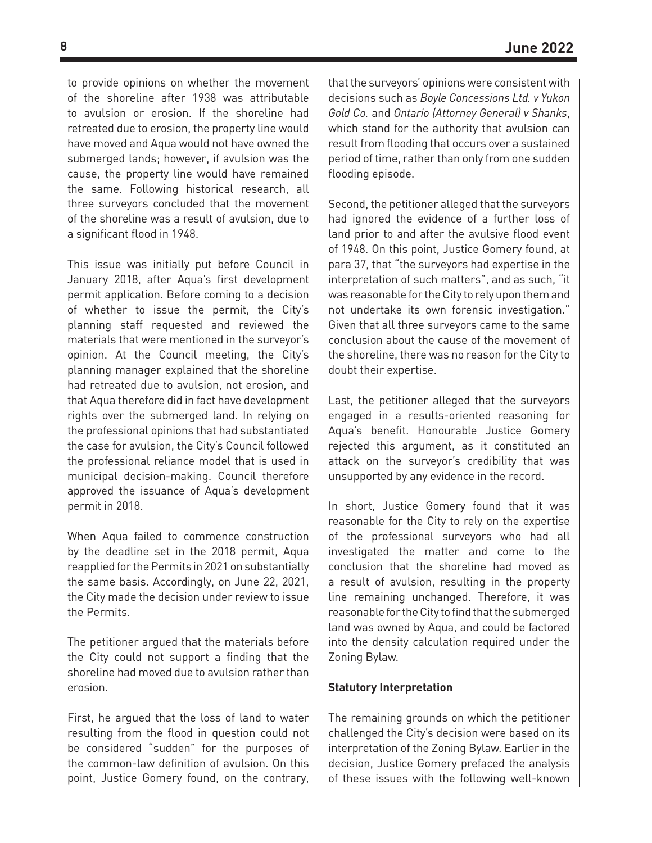to provide opinions on whether the movement of the shoreline after 1938 was attributable to avulsion or erosion. If the shoreline had retreated due to erosion, the property line would have moved and Aqua would not have owned the submerged lands; however, if avulsion was the cause, the property line would have remained the same. Following historical research, all three surveyors concluded that the movement of the shoreline was a result of avulsion, due to a significant flood in 1948.

This issue was initially put before Council in January 2018, after Aqua's first development permit application. Before coming to a decision of whether to issue the permit, the City's planning staff requested and reviewed the materials that were mentioned in the surveyor's opinion. At the Council meeting, the City's planning manager explained that the shoreline had retreated due to avulsion, not erosion, and that Aqua therefore did in fact have development rights over the submerged land. In relying on the professional opinions that had substantiated the case for avulsion, the City's Council followed the professional reliance model that is used in municipal decision-making. Council therefore approved the issuance of Aqua's development permit in 2018.

When Aqua failed to commence construction by the deadline set in the 2018 permit, Aqua reapplied for the Permits in 2021 on substantially the same basis. Accordingly, on June 22, 2021, the City made the decision under review to issue the Permits.

The petitioner argued that the materials before the City could not support a finding that the shoreline had moved due to avulsion rather than erosion.

First, he argued that the loss of land to water resulting from the flood in question could not be considered "sudden" for the purposes of the common-law definition of avulsion. On this point, Justice Gomery found, on the contrary, that the surveyors' opinions were consistent with decisions such as *Boyle Concessions Ltd. v Yukon Gold Co.* and *Ontario (Attorney General) v Shanks*, which stand for the authority that avulsion can result from flooding that occurs over a sustained period of time, rather than only from one sudden flooding episode.

Second, the petitioner alleged that the surveyors had ignored the evidence of a further loss of land prior to and after the avulsive flood event of 1948. On this point, Justice Gomery found, at para 37, that "the surveyors had expertise in the interpretation of such matters", and as such, "it was reasonable for the City to rely upon them and not undertake its own forensic investigation." Given that all three surveyors came to the same conclusion about the cause of the movement of the shoreline, there was no reason for the City to doubt their expertise.

Last, the petitioner alleged that the surveyors engaged in a results-oriented reasoning for Aqua's benefit. Honourable Justice Gomery rejected this argument, as it constituted an attack on the surveyor's credibility that was unsupported by any evidence in the record.

In short, Justice Gomery found that it was reasonable for the City to rely on the expertise of the professional surveyors who had all investigated the matter and come to the conclusion that the shoreline had moved as a result of avulsion, resulting in the property line remaining unchanged. Therefore, it was reasonable for the City to find that the submerged land was owned by Aqua, and could be factored into the density calculation required under the Zoning Bylaw.

#### **Statutory Interpretation**

The remaining grounds on which the petitioner challenged the City's decision were based on its interpretation of the Zoning Bylaw. Earlier in the decision, Justice Gomery prefaced the analysis of these issues with the following well-known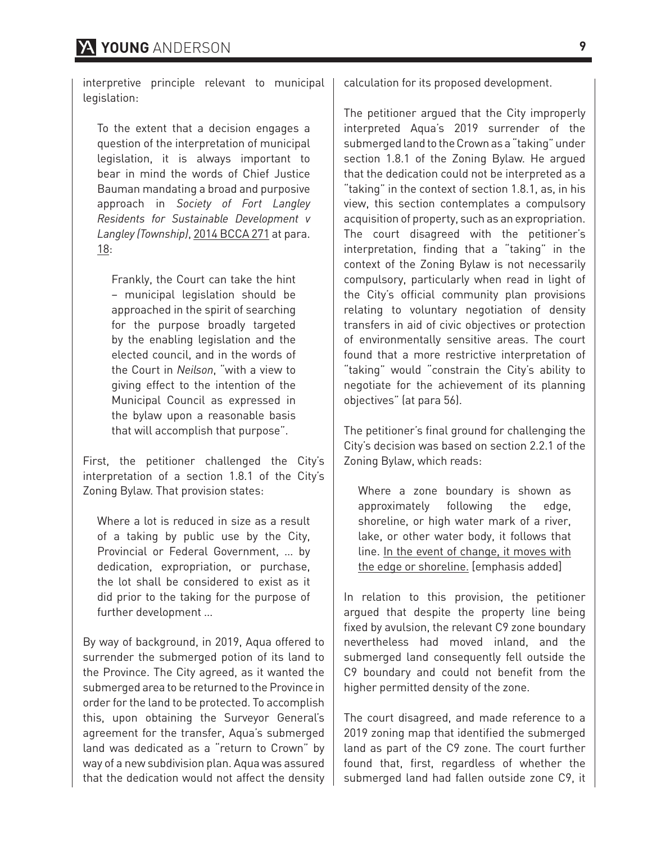interpretive principle relevant to municipal legislation:

To the extent that a decision engages a question of the interpretation of municipal legislation, it is always important to bear in mind the words of Chief Justice Bauman mandating a broad and purposive approach in *Society of Fort Langley Residents for Sustainable Development v Langley (Township)*, 2014 BCCA 271 at para. 18:

Frankly, the Court can take the hint – municipal legislation should be approached in the spirit of searching for the purpose broadly targeted by the enabling legislation and the elected council, and in the words of the Court in *Neilson*, "with a view to giving effect to the intention of the Municipal Council as expressed in the bylaw upon a reasonable basis that will accomplish that purpose".

First, the petitioner challenged the City's interpretation of a section 1.8.1 of the City's Zoning Bylaw. That provision states:

Where a lot is reduced in size as a result of a taking by public use by the City, Provincial or Federal Government, … by dedication, expropriation, or purchase, the lot shall be considered to exist as it did prior to the taking for the purpose of further development …

By way of background, in 2019, Aqua offered to surrender the submerged potion of its land to the Province. The City agreed, as it wanted the submerged area to be returned to the Province in order for the land to be protected. To accomplish this, upon obtaining the Surveyor General's agreement for the transfer, Aqua's submerged land was dedicated as a "return to Crown" by way of a new subdivision plan. Aqua was assured that the dedication would not affect the density calculation for its proposed development.

The petitioner argued that the City improperly interpreted Aqua's 2019 surrender of the submerged land to the Crown as a "taking" under section 1.8.1 of the Zoning Bylaw. He argued that the dedication could not be interpreted as a "taking" in the context of section 1.8.1, as, in his view, this section contemplates a compulsory acquisition of property, such as an expropriation. The court disagreed with the petitioner's interpretation, finding that a "taking" in the context of the Zoning Bylaw is not necessarily compulsory, particularly when read in light of the City's official community plan provisions relating to voluntary negotiation of density transfers in aid of civic objectives or protection of environmentally sensitive areas. The court found that a more restrictive interpretation of "taking" would "constrain the City's ability to negotiate for the achievement of its planning objectives" (at para 56).

The petitioner's final ground for challenging the City's decision was based on section 2.2.1 of the Zoning Bylaw, which reads:

Where a zone boundary is shown as approximately following the edge, shoreline, or high water mark of a river, lake, or other water body, it follows that line. In the event of change, it moves with the edge or shoreline. [emphasis added]

In relation to this provision, the petitioner argued that despite the property line being fixed by avulsion, the relevant C9 zone boundary nevertheless had moved inland, and the submerged land consequently fell outside the C9 boundary and could not benefit from the higher permitted density of the zone.

The court disagreed, and made reference to a 2019 zoning map that identified the submerged land as part of the C9 zone. The court further found that, first, regardless of whether the submerged land had fallen outside zone C9, it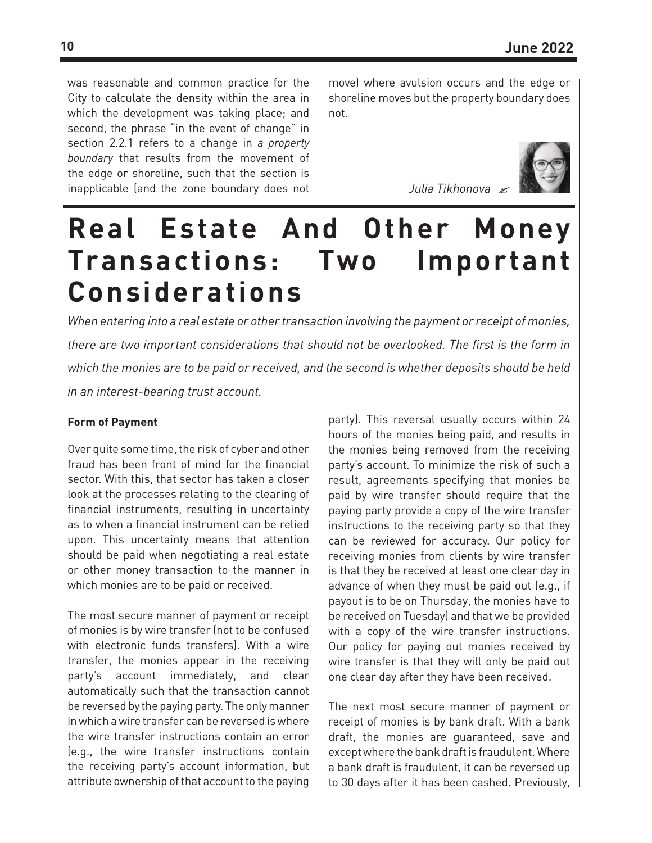was reasonable and common practice for the City to calculate the density within the area in which the development was taking place; and second, the phrase "in the event of change" in section 2.2.1 refers to a change in *a property boundary* that results from the movement of the edge or shoreline, such that the section is inapplicable (and the zone boundary does not move) where avulsion occurs and the edge or shoreline moves but the property boundary does not.



*Julia Tikhonova*

## **Real Estate And Other Money Transactions: Two Important Considerations**

*When entering into a real estate or other transaction involving the payment or receipt of monies, there are two important considerations that should not be overlooked. The first is the form in which the monies are to be paid or received, and the second is whether deposits should be held in an interest-bearing trust account.* 

#### **Form of Payment**

Over quite some time, the risk of cyber and other fraud has been front of mind for the financial sector. With this, that sector has taken a closer look at the processes relating to the clearing of financial instruments, resulting in uncertainty as to when a financial instrument can be relied upon. This uncertainty means that attention should be paid when negotiating a real estate or other money transaction to the manner in which monies are to be paid or received.

The most secure manner of payment or receipt of monies is by wire transfer (not to be confused with electronic funds transfers). With a wire transfer, the monies appear in the receiving party's account immediately, and clear automatically such that the transaction cannot be reversed by the paying party. The only manner in which a wire transfer can be reversed is where the wire transfer instructions contain an error (e.g., the wire transfer instructions contain the receiving party's account information, but attribute ownership of that account to the paying party). This reversal usually occurs within 24 hours of the monies being paid, and results in the monies being removed from the receiving party's account. To minimize the risk of such a result, agreements specifying that monies be paid by wire transfer should require that the paying party provide a copy of the wire transfer instructions to the receiving party so that they can be reviewed for accuracy. Our policy for receiving monies from clients by wire transfer is that they be received at least one clear day in advance of when they must be paid out (e.g., if payout is to be on Thursday, the monies have to be received on Tuesday) and that we be provided with a copy of the wire transfer instructions. Our policy for paying out monies received by wire transfer is that they will only be paid out one clear day after they have been received.

The next most secure manner of payment or receipt of monies is by bank draft. With a bank draft, the monies are guaranteed, save and except where the bank draft is fraudulent. Where a bank draft is fraudulent, it can be reversed up to 30 days after it has been cashed. Previously,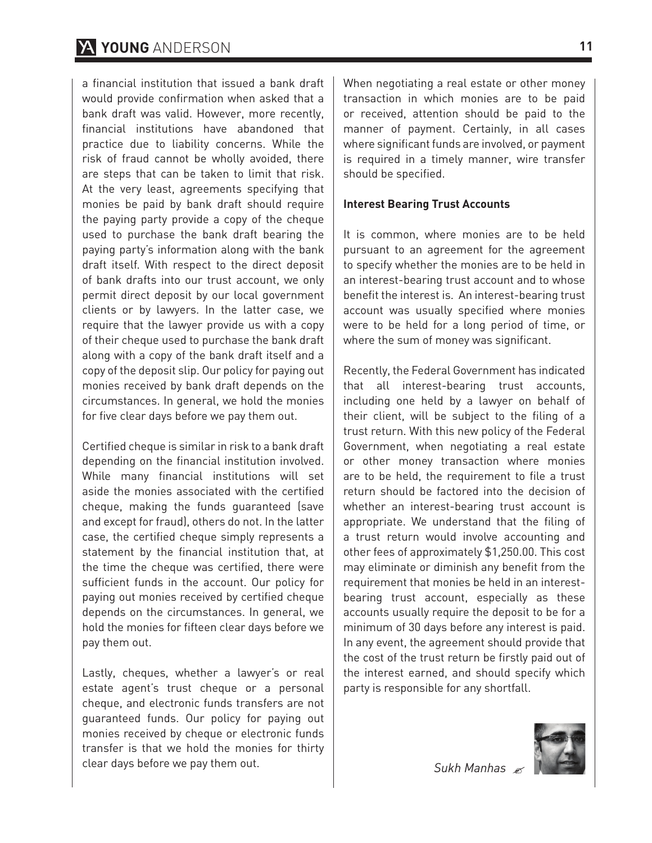### **YOUNG** ANDERSON **11**

a financial institution that issued a bank draft would provide confirmation when asked that a bank draft was valid. However, more recently, financial institutions have abandoned that practice due to liability concerns. While the risk of fraud cannot be wholly avoided, there are steps that can be taken to limit that risk. At the very least, agreements specifying that monies be paid by bank draft should require the paying party provide a copy of the cheque used to purchase the bank draft bearing the paying party's information along with the bank draft itself. With respect to the direct deposit of bank drafts into our trust account, we only permit direct deposit by our local government clients or by lawyers. In the latter case, we require that the lawyer provide us with a copy of their cheque used to purchase the bank draft along with a copy of the bank draft itself and a copy of the deposit slip. Our policy for paying out monies received by bank draft depends on the circumstances. In general, we hold the monies for five clear days before we pay them out.

Certified cheque is similar in risk to a bank draft depending on the financial institution involved. While many financial institutions will set aside the monies associated with the certified cheque, making the funds guaranteed (save and except for fraud), others do not. In the latter case, the certified cheque simply represents a statement by the financial institution that, at the time the cheque was certified, there were sufficient funds in the account. Our policy for paying out monies received by certified cheque depends on the circumstances. In general, we hold the monies for fifteen clear days before we pay them out.

Lastly, cheques, whether a lawyer's or real estate agent's trust cheque or a personal cheque, and electronic funds transfers are not guaranteed funds. Our policy for paying out monies received by cheque or electronic funds transfer is that we hold the monies for thirty clear days before we pay them out.

When negotiating a real estate or other money transaction in which monies are to be paid or received, attention should be paid to the manner of payment. Certainly, in all cases where significant funds are involved, or payment is required in a timely manner, wire transfer should be specified.

#### **Interest Bearing Trust Accounts**

It is common, where monies are to be held pursuant to an agreement for the agreement to specify whether the monies are to be held in an interest-bearing trust account and to whose benefit the interest is. An interest-bearing trust account was usually specified where monies were to be held for a long period of time, or where the sum of money was significant.

Recently, the Federal Government has indicated that all interest-bearing trust accounts, including one held by a lawyer on behalf of their client, will be subject to the filing of a trust return. With this new policy of the Federal Government, when negotiating a real estate or other money transaction where monies are to be held, the requirement to file a trust return should be factored into the decision of whether an interest-bearing trust account is appropriate. We understand that the filing of a trust return would involve accounting and other fees of approximately \$1,250.00. This cost may eliminate or diminish any benefit from the requirement that monies be held in an interestbearing trust account, especially as these accounts usually require the deposit to be for a minimum of 30 days before any interest is paid. In any event, the agreement should provide that the cost of the trust return be firstly paid out of the interest earned, and should specify which party is responsible for any shortfall.

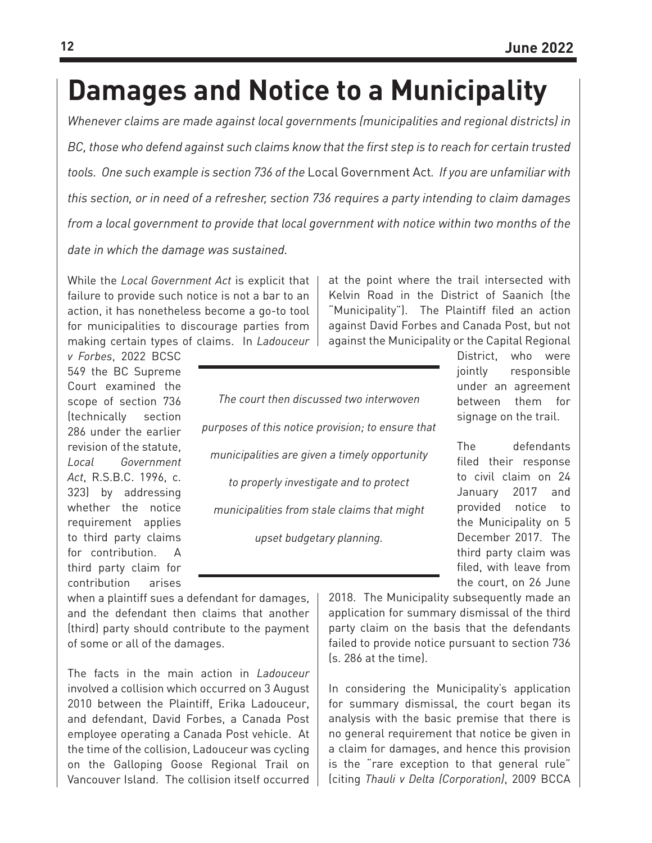## **Damages and Notice to a Municipality**

*Whenever claims are made against local governments (municipalities and regional districts) in BC, those who defend against such claims know that the first step is to reach for certain trusted tools. One such example is section 736 of the* Local Government Act*. If you are unfamiliar with this section, or in need of a refresher, section 736 requires a party intending to claim damages from a local government to provide that local government with notice within two months of the* 

*date in which the damage was sustained.*

While the *Local Government Act* is explicit that failure to provide such notice is not a bar to an action, it has nonetheless become a go-to tool for municipalities to discourage parties from making certain types of claims. In *Ladouceur* 

*v Forbes*, 2022 BCSC 549 the BC Supreme Court examined the scope of section 736 (technically section 286 under the earlier revision of the statute, *Local Government Act*, R.S.B.C. 1996, c. 323) by addressing whether the notice requirement applies to third party claims for contribution. A third party claim for contribution arises

*The court then discussed two interwoven purposes of this notice provision; to ensure that municipalities are given a timely opportunity to properly investigate and to protect municipalities from stale claims that might upset budgetary planning.*

at the point where the trail intersected with Kelvin Road in the District of Saanich (the "Municipality"). The Plaintiff filed an action against David Forbes and Canada Post, but not against the Municipality or the Capital Regional

District, who were jointly responsible under an agreement between them for signage on the trail.

The defendants filed their response to civil claim on 24 January 2017 and provided notice to the Municipality on 5 December 2017. The third party claim was filed, with leave from the court, on 26 June

when a plaintiff sues a defendant for damages, and the defendant then claims that another (third) party should contribute to the payment of some or all of the damages.

The facts in the main action in *Ladouceur*  involved a collision which occurred on 3 August 2010 between the Plaintiff, Erika Ladouceur, and defendant, David Forbes, a Canada Post employee operating a Canada Post vehicle. At the time of the collision, Ladouceur was cycling on the Galloping Goose Regional Trail on Vancouver Island. The collision itself occurred

2018. The Municipality subsequently made an application for summary dismissal of the third party claim on the basis that the defendants failed to provide notice pursuant to section 736 (s. 286 at the time).

In considering the Municipality's application for summary dismissal, the court began its analysis with the basic premise that there is no general requirement that notice be given in a claim for damages, and hence this provision is the "rare exception to that general rule" (citing *Thauli v Delta (Corporation)*, 2009 BCCA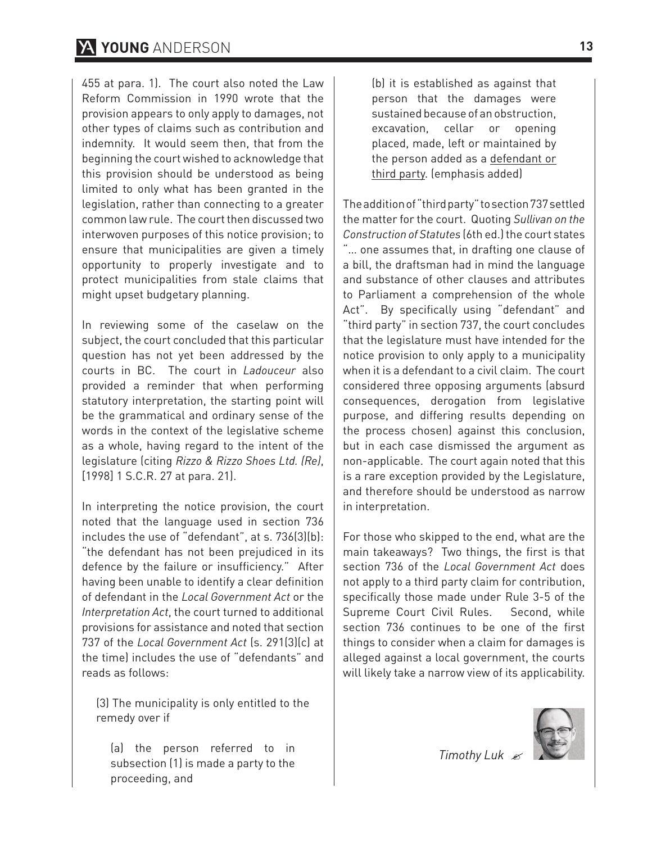455 at para. 1). The court also noted the Law Reform Commission in 1990 wrote that the provision appears to only apply to damages, not other types of claims such as contribution and indemnity. It would seem then, that from the beginning the court wished to acknowledge that this provision should be understood as being limited to only what has been granted in the legislation, rather than connecting to a greater common law rule. The court then discussed two interwoven purposes of this notice provision; to ensure that municipalities are given a timely opportunity to properly investigate and to protect municipalities from stale claims that might upset budgetary planning.

In reviewing some of the caselaw on the subject, the court concluded that this particular question has not yet been addressed by the courts in BC. The court in *Ladouceur* also provided a reminder that when performing statutory interpretation, the starting point will be the grammatical and ordinary sense of the words in the context of the legislative scheme as a whole, having regard to the intent of the legislature (citing *Rizzo & Rizzo Shoes Ltd. (Re)*, [1998] 1 S.C.R. 27 at para. 21].

In interpreting the notice provision, the court noted that the language used in section 736 includes the use of "defendant", at s. 736(3)(b): "the defendant has not been prejudiced in its defence by the failure or insufficiency." After having been unable to identify a clear definition of defendant in the *Local Government Act* or the *Interpretation Act*, the court turned to additional provisions for assistance and noted that section 737 of the *Local Government Act* (s. 291(3)(c) at the time) includes the use of "defendants" and reads as follows:

(3) The municipality is only entitled to the remedy over if

(a) the person referred to in subsection (1) is made a party to the proceeding, and

(b) it is established as against that person that the damages were sustained because of an obstruction, excavation, cellar or opening placed, made, left or maintained by the person added as a defendant or third party. (emphasis added)

The addition of "third party" to section 737 settled the matter for the court. Quoting *Sullivan on the Construction of Statutes* (6th ed.) the court states "… one assumes that, in drafting one clause of a bill, the draftsman had in mind the language and substance of other clauses and attributes to Parliament a comprehension of the whole Act". By specifically using "defendant" and "third party" in section 737, the court concludes that the legislature must have intended for the notice provision to only apply to a municipality when it is a defendant to a civil claim. The court considered three opposing arguments (absurd consequences, derogation from legislative purpose, and differing results depending on the process chosen) against this conclusion, but in each case dismissed the argument as non-applicable. The court again noted that this is a rare exception provided by the Legislature, and therefore should be understood as narrow in interpretation.

For those who skipped to the end, what are the main takeaways? Two things, the first is that section 736 of the *Local Government Act* does not apply to a third party claim for contribution, specifically those made under Rule 3-5 of the Supreme Court Civil Rules. Second, while section 736 continues to be one of the first things to consider when a claim for damages is alleged against a local government, the courts will likely take a narrow view of its applicability.



*Timothy Luk*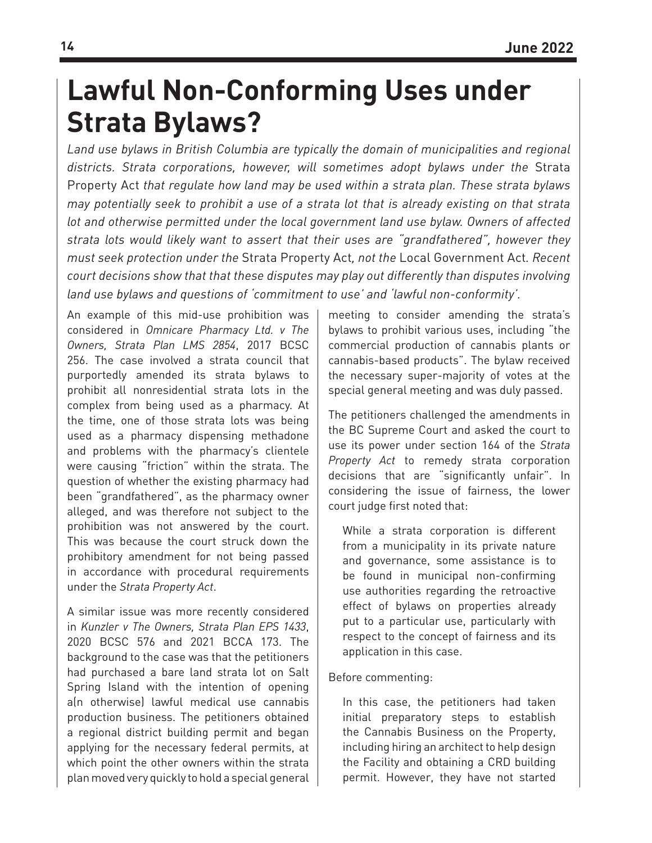## **Lawful Non-Conforming Uses under Strata Bylaws?**

*Land use bylaws in British Columbia are typically the domain of municipalities and regional districts. Strata corporations, however, will sometimes adopt bylaws under the* Strata Property Act *that regulate how land may be used within a strata plan. These strata bylaws may potentially seek to prohibit a use of a strata lot that is already existing on that strata lot and otherwise permitted under the local government land use bylaw. Owners of affected strata lots would likely want to assert that their uses are "grandfathered", however they must seek protection under the* Strata Property Act*, not the* Local Government Act*. Recent court decisions show that that these disputes may play out differently than disputes involving land use bylaws and questions of 'commitment to use' and 'lawful non-conformity'.* 

An example of this mid-use prohibition was considered in *Omnicare Pharmacy Ltd. v The Owners, Strata Plan LMS 2854*, 2017 BCSC 256. The case involved a strata council that purportedly amended its strata bylaws to prohibit all nonresidential strata lots in the complex from being used as a pharmacy. At the time, one of those strata lots was being used as a pharmacy dispensing methadone and problems with the pharmacy's clientele were causing "friction" within the strata. The question of whether the existing pharmacy had been "grandfathered", as the pharmacy owner alleged, and was therefore not subject to the prohibition was not answered by the court. This was because the court struck down the prohibitory amendment for not being passed in accordance with procedural requirements under the *Strata Property Act*.

A similar issue was more recently considered in *Kunzler v The Owners, Strata Plan EPS 1433*, 2020 BCSC 576 and 2021 BCCA 173. The background to the case was that the petitioners had purchased a bare land strata lot on Salt Spring Island with the intention of opening a(n otherwise) lawful medical use cannabis production business. The petitioners obtained a regional district building permit and began applying for the necessary federal permits, at which point the other owners within the strata plan moved very quickly to hold a special general meeting to consider amending the strata's bylaws to prohibit various uses, including "the commercial production of cannabis plants or cannabis-based products". The bylaw received the necessary super-majority of votes at the special general meeting and was duly passed.

The petitioners challenged the amendments in the BC Supreme Court and asked the court to use its power under section 164 of the *Strata Property Act* to remedy strata corporation decisions that are "significantly unfair". In considering the issue of fairness, the lower court judge first noted that:

While a strata corporation is different from a municipality in its private nature and governance, some assistance is to be found in municipal non-confirming use authorities regarding the retroactive effect of bylaws on properties already put to a particular use, particularly with respect to the concept of fairness and its application in this case.

#### Before commenting:

In this case, the petitioners had taken initial preparatory steps to establish the Cannabis Business on the Property, including hiring an architect to help design the Facility and obtaining a CRD building permit. However, they have not started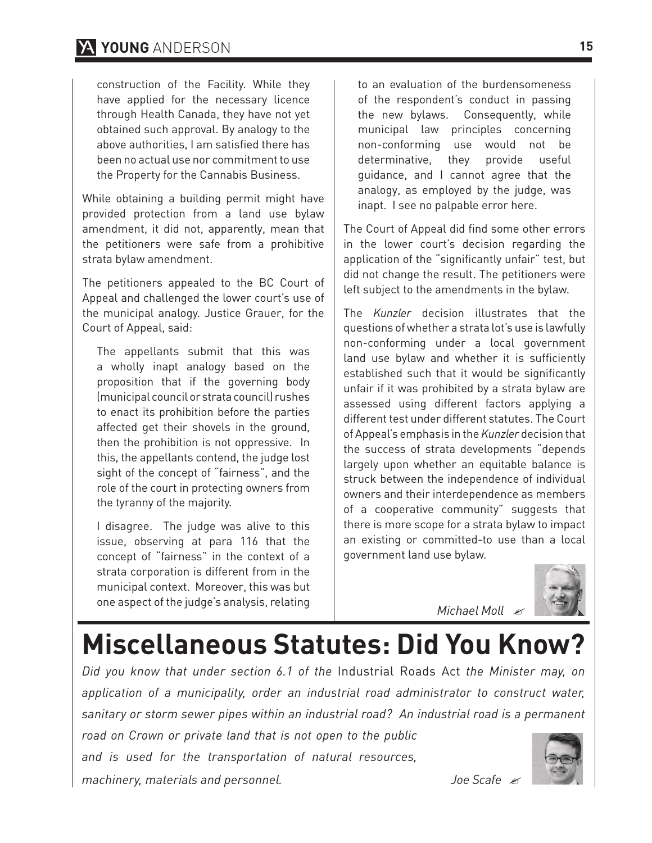### **YOUNG** ANDERSON **15**

construction of the Facility. While they have applied for the necessary licence through Health Canada, they have not yet obtained such approval. By analogy to the above authorities, I am satisfied there has been no actual use nor commitment to use the Property for the Cannabis Business.

While obtaining a building permit might have provided protection from a land use bylaw amendment, it did not, apparently, mean that the petitioners were safe from a prohibitive strata bylaw amendment.

The petitioners appealed to the BC Court of Appeal and challenged the lower court's use of the municipal analogy. Justice Grauer, for the Court of Appeal, said:

The appellants submit that this was a wholly inapt analogy based on the proposition that if the governing body (municipal council or strata council) rushes to enact its prohibition before the parties affected get their shovels in the ground, then the prohibition is not oppressive. In this, the appellants contend, the judge lost sight of the concept of "fairness", and the role of the court in protecting owners from the tyranny of the majority.

I disagree. The judge was alive to this issue, observing at para 116 that the concept of "fairness" in the context of a strata corporation is different from in the municipal context. Moreover, this was but one aspect of the judge's analysis, relating to an evaluation of the burdensomeness of the respondent's conduct in passing the new bylaws. Consequently, while municipal law principles concerning non-conforming use would not be determinative, they provide useful guidance, and I cannot agree that the analogy, as employed by the judge, was inapt. I see no palpable error here.

The Court of Appeal did find some other errors in the lower court's decision regarding the application of the "significantly unfair" test, but did not change the result. The petitioners were left subject to the amendments in the bylaw.

The *Kunzler* decision illustrates that the questions of whether a strata lot's use is lawfully non-conforming under a local government land use bylaw and whether it is sufficiently established such that it would be significantly unfair if it was prohibited by a strata bylaw are assessed using different factors applying a different test under different statutes. The Court of Appeal's emphasis in the *Kunzler* decision that the success of strata developments "depends largely upon whether an equitable balance is struck between the independence of individual owners and their interdependence as members of a cooperative community" suggests that there is more scope for a strata bylaw to impact an existing or committed-to use than a local government land use bylaw.



*Michael Moll*

# **Miscellaneous Statutes: Did You Know?**

*Did you know that under section 6.1 of the* Industrial Roads Act *the Minister may, on application of a municipality, order an industrial road administrator to construct water, sanitary or storm sewer pipes within an industrial road? An industrial road is a permanent* 

*road on Crown or private land that is not open to the public and is used for the transportation of natural resources,* 

*machinery, materials and personnel. Joe Scafe*